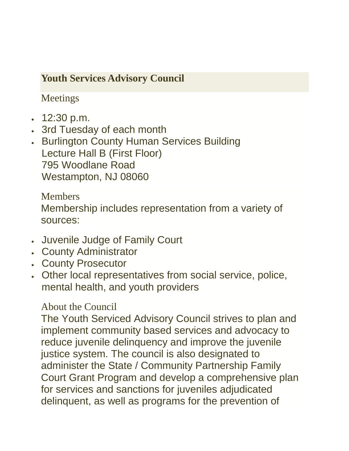## **Youth Services Advisory Council**

Meetings

- $\cdot$  12:30 p.m.
- 3rd Tuesday of each month
- **. Burlington County Human Services Building** Lecture Hall B (First Floor) 795 Woodlane Road Westampton, NJ 08060

**Members** Membership includes representation from a variety of sources:

- Juvenile Judge of Family Court
- County Administrator
- County Prosecutor
- Other local representatives from social service, police, mental health, and youth providers

About the Council

The Youth Serviced Advisory Council strives to plan and implement community based services and advocacy to reduce juvenile delinquency and improve the juvenile justice system. The council is also designated to administer the State / Community Partnership Family Court Grant Program and develop a comprehensive plan for services and sanctions for juveniles adjudicated delinquent, as well as programs for the prevention of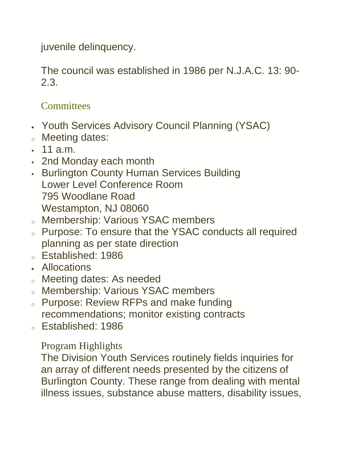juvenile delinquency.

The council was established in 1986 per N.J.A.C. 13: 90- 2.3.

## **Committees**

- Youth Services Advisory Council Planning (YSAC)
- <sup>o</sup> Meeting dates:
- $-11$  a.m.
- 2nd Monday each month
- **Burlington County Human Services Building** Lower Level Conference Room 795 Woodlane Road Westampton, NJ 08060
- <sup>o</sup> Membership: Various YSAC members
- o Purpose: To ensure that the YSAC conducts all required planning as per state direction
- <sup>o</sup> Established: 1986
- Allocations
- o Meeting dates: As needed
- o Membership: Various YSAC members
- o Purpose: Review RFPs and make funding recommendations; monitor existing contracts
- <sup>o</sup> Established: 1986

Program Highlights

The Division Youth Services routinely fields inquiries for an array of different needs presented by the citizens of Burlington County. These range from dealing with mental illness issues, substance abuse matters, disability issues,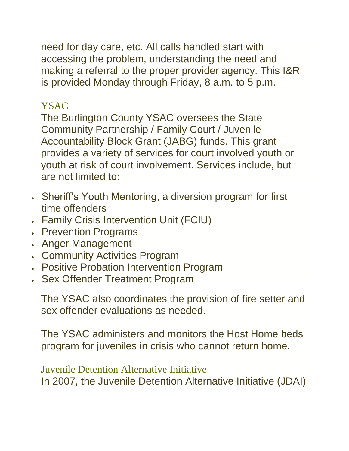need for day care, etc. All calls handled start with accessing the problem, understanding the need and making a referral to the proper provider agency. This I&R is provided Monday through Friday, 8 a.m. to 5 p.m.

## YSAC

The Burlington County YSAC oversees the State Community Partnership / Family Court / Juvenile Accountability Block Grant (JABG) funds. This grant provides a variety of services for court involved youth or youth at risk of court involvement. Services include, but are not limited to:

- Sheriff's Youth Mentoring, a diversion program for first time offenders
- Family Crisis Intervention Unit (FCIU)
- **Prevention Programs**
- Anger Management
- Community Activities Program
- Positive Probation Intervention Program
- Sex Offender Treatment Program

The YSAC also coordinates the provision of fire setter and sex offender evaluations as needed.

The YSAC administers and monitors the Host Home beds program for juveniles in crisis who cannot return home.

## Juvenile Detention Alternative Initiative

In 2007, the Juvenile Detention Alternative Initiative (JDAI)